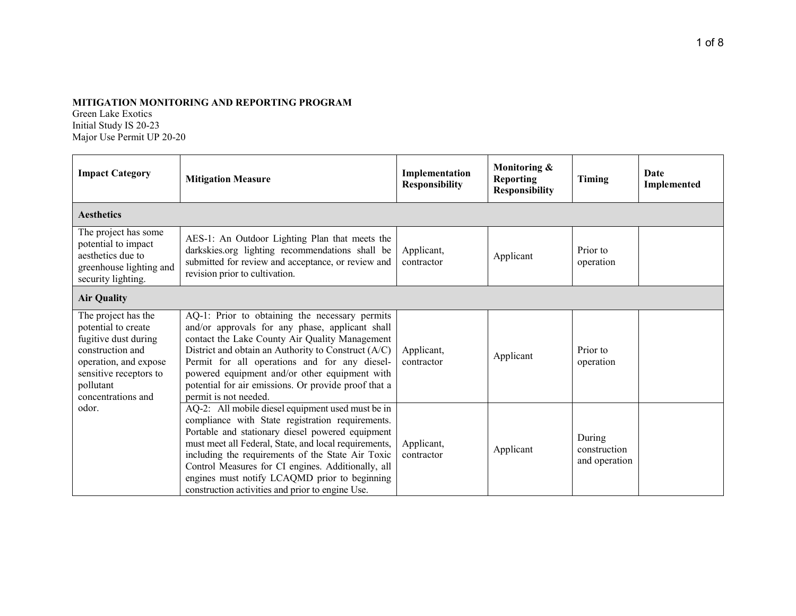## **MITIGATION MONITORING AND REPORTING PROGRAM**

Green Lake Exotics Initial Study IS 20-23 Major Use Permit UP 20-20

| <b>Impact Category</b>                                                                                                                                                       | <b>Mitigation Measure</b>                                                                                                                                                                                                                                                                                                                                                                                                          | Implementation<br><b>Responsibility</b> | Monitoring &<br><b>Reporting</b><br><b>Responsibility</b> | Timing                                  | <b>Date</b><br>Implemented |
|------------------------------------------------------------------------------------------------------------------------------------------------------------------------------|------------------------------------------------------------------------------------------------------------------------------------------------------------------------------------------------------------------------------------------------------------------------------------------------------------------------------------------------------------------------------------------------------------------------------------|-----------------------------------------|-----------------------------------------------------------|-----------------------------------------|----------------------------|
| <b>Aesthetics</b>                                                                                                                                                            |                                                                                                                                                                                                                                                                                                                                                                                                                                    |                                         |                                                           |                                         |                            |
| The project has some<br>potential to impact<br>aesthetics due to<br>greenhouse lighting and<br>security lighting.                                                            | AES-1: An Outdoor Lighting Plan that meets the<br>darkskies.org lighting recommendations shall be<br>submitted for review and acceptance, or review and<br>revision prior to cultivation.                                                                                                                                                                                                                                          | Applicant,<br>contractor                | Applicant                                                 | Prior to<br>operation                   |                            |
| <b>Air Quality</b>                                                                                                                                                           |                                                                                                                                                                                                                                                                                                                                                                                                                                    |                                         |                                                           |                                         |                            |
| The project has the<br>potential to create<br>fugitive dust during<br>construction and<br>operation, and expose<br>sensitive receptors to<br>pollutant<br>concentrations and | AQ-1: Prior to obtaining the necessary permits<br>and/or approvals for any phase, applicant shall<br>contact the Lake County Air Quality Management<br>District and obtain an Authority to Construct (A/C)<br>Permit for all operations and for any diesel-<br>powered equipment and/or other equipment with<br>potential for air emissions. Or provide proof that a<br>permit is not needed.                                      | Applicant,<br>contractor                | Applicant                                                 | Prior to<br>operation                   |                            |
| odor.                                                                                                                                                                        | AQ-2: All mobile diesel equipment used must be in<br>compliance with State registration requirements.<br>Portable and stationary diesel powered equipment<br>must meet all Federal, State, and local requirements,<br>including the requirements of the State Air Toxic<br>Control Measures for CI engines. Additionally, all<br>engines must notify LCAQMD prior to beginning<br>construction activities and prior to engine Use. | Applicant,<br>contractor                | Applicant                                                 | During<br>construction<br>and operation |                            |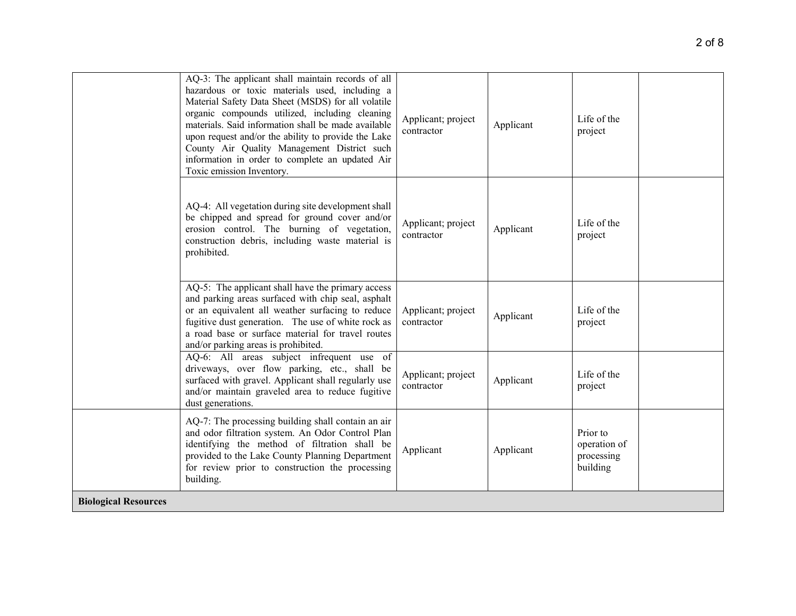| <b>Biological Resources</b> |                                                                                                                                                                                                                                                                                                                                                                                                                                                          |                                  |           |                                                    |
|-----------------------------|----------------------------------------------------------------------------------------------------------------------------------------------------------------------------------------------------------------------------------------------------------------------------------------------------------------------------------------------------------------------------------------------------------------------------------------------------------|----------------------------------|-----------|----------------------------------------------------|
|                             | AQ-7: The processing building shall contain an air<br>and odor filtration system. An Odor Control Plan<br>identifying the method of filtration shall be<br>provided to the Lake County Planning Department<br>for review prior to construction the processing<br>building.                                                                                                                                                                               | Applicant                        | Applicant | Prior to<br>operation of<br>processing<br>building |
|                             | AQ-6: All areas subject infrequent use of<br>driveways, over flow parking, etc., shall be<br>surfaced with gravel. Applicant shall regularly use<br>and/or maintain graveled area to reduce fugitive<br>dust generations.                                                                                                                                                                                                                                | Applicant; project<br>contractor | Applicant | Life of the<br>project                             |
|                             | AQ-5: The applicant shall have the primary access<br>and parking areas surfaced with chip seal, asphalt<br>or an equivalent all weather surfacing to reduce<br>fugitive dust generation. The use of white rock as<br>a road base or surface material for travel routes<br>and/or parking areas is prohibited.                                                                                                                                            | Applicant; project<br>contractor | Applicant | Life of the<br>project                             |
|                             | AQ-4: All vegetation during site development shall<br>be chipped and spread for ground cover and/or<br>erosion control. The burning of vegetation,<br>construction debris, including waste material is<br>prohibited.                                                                                                                                                                                                                                    | Applicant; project<br>contractor | Applicant | Life of the<br>project                             |
|                             | AQ-3: The applicant shall maintain records of all<br>hazardous or toxic materials used, including a<br>Material Safety Data Sheet (MSDS) for all volatile<br>organic compounds utilized, including cleaning<br>materials. Said information shall be made available<br>upon request and/or the ability to provide the Lake<br>County Air Quality Management District such<br>information in order to complete an updated Air<br>Toxic emission Inventory. | Applicant; project<br>contractor | Applicant | Life of the<br>project                             |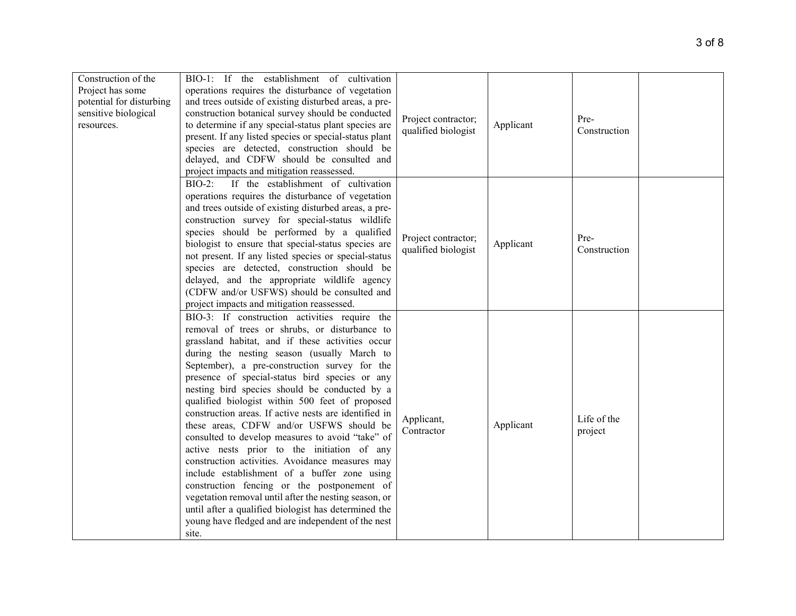| Construction of the<br>Project has some<br>potential for disturbing<br>sensitive biological<br>resources. | BIO-1: If the establishment of cultivation<br>operations requires the disturbance of vegetation<br>and trees outside of existing disturbed areas, a pre-<br>construction botanical survey should be conducted<br>to determine if any special-status plant species are<br>present. If any listed species or special-status plant<br>species are detected, construction should be<br>delayed, and CDFW should be consulted and<br>project impacts and mitigation reassessed.                                                                                                                                                                                                                                                                                                                                                                                                                                                                         | Project contractor;<br>qualified biologist | Applicant | Pre-<br>Construction   |  |
|-----------------------------------------------------------------------------------------------------------|----------------------------------------------------------------------------------------------------------------------------------------------------------------------------------------------------------------------------------------------------------------------------------------------------------------------------------------------------------------------------------------------------------------------------------------------------------------------------------------------------------------------------------------------------------------------------------------------------------------------------------------------------------------------------------------------------------------------------------------------------------------------------------------------------------------------------------------------------------------------------------------------------------------------------------------------------|--------------------------------------------|-----------|------------------------|--|
|                                                                                                           | $BIO-2$ :<br>If the establishment of cultivation<br>operations requires the disturbance of vegetation<br>and trees outside of existing disturbed areas, a pre-<br>construction survey for special-status wildlife<br>species should be performed by a qualified<br>biologist to ensure that special-status species are<br>not present. If any listed species or special-status<br>species are detected, construction should be<br>delayed, and the appropriate wildlife agency<br>(CDFW and/or USFWS) should be consulted and<br>project impacts and mitigation reassessed.                                                                                                                                                                                                                                                                                                                                                                        | Project contractor;<br>qualified biologist | Applicant | Pre-<br>Construction   |  |
|                                                                                                           | BIO-3: If construction activities require the<br>removal of trees or shrubs, or disturbance to<br>grassland habitat, and if these activities occur<br>during the nesting season (usually March to<br>September), a pre-construction survey for the<br>presence of special-status bird species or any<br>nesting bird species should be conducted by a<br>qualified biologist within 500 feet of proposed<br>construction areas. If active nests are identified in<br>these areas, CDFW and/or USFWS should be<br>consulted to develop measures to avoid "take" of<br>active nests prior to the initiation of any<br>construction activities. Avoidance measures may<br>include establishment of a buffer zone using<br>construction fencing or the postponement of<br>vegetation removal until after the nesting season, or<br>until after a qualified biologist has determined the<br>young have fledged and are independent of the nest<br>site. | Applicant,<br>Contractor                   | Applicant | Life of the<br>project |  |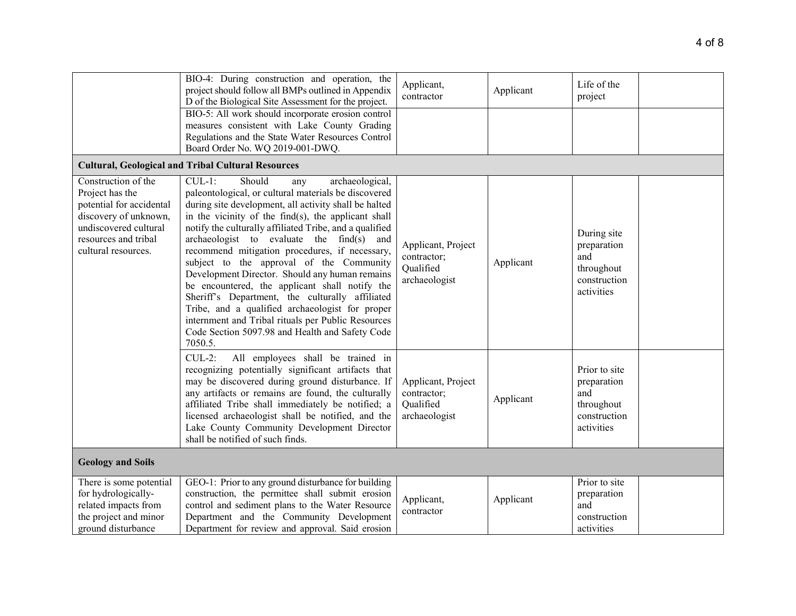|                                                                                                                                                                     | BIO-4: During construction and operation, the<br>project should follow all BMPs outlined in Appendix<br>D of the Biological Site Assessment for the project.                                                                                                                                                                                                                                                                                                                                                                                                                                                                                                                                                                                              | Applicant,<br>contractor                                        | Applicant | Life of the<br>project                                                          |
|---------------------------------------------------------------------------------------------------------------------------------------------------------------------|-----------------------------------------------------------------------------------------------------------------------------------------------------------------------------------------------------------------------------------------------------------------------------------------------------------------------------------------------------------------------------------------------------------------------------------------------------------------------------------------------------------------------------------------------------------------------------------------------------------------------------------------------------------------------------------------------------------------------------------------------------------|-----------------------------------------------------------------|-----------|---------------------------------------------------------------------------------|
|                                                                                                                                                                     | BIO-5: All work should incorporate erosion control<br>measures consistent with Lake County Grading<br>Regulations and the State Water Resources Control<br>Board Order No. WQ 2019-001-DWQ.                                                                                                                                                                                                                                                                                                                                                                                                                                                                                                                                                               |                                                                 |           |                                                                                 |
|                                                                                                                                                                     | <b>Cultural, Geological and Tribal Cultural Resources</b>                                                                                                                                                                                                                                                                                                                                                                                                                                                                                                                                                                                                                                                                                                 |                                                                 |           |                                                                                 |
| Construction of the<br>Project has the<br>potential for accidental<br>discovery of unknown,<br>undiscovered cultural<br>resources and tribal<br>cultural resources. | $CUL-1$ :<br>Should<br>archaeological,<br>any<br>paleontological, or cultural materials be discovered<br>during site development, all activity shall be halted<br>in the vicinity of the find(s), the applicant shall<br>notify the culturally affiliated Tribe, and a qualified<br>archaeologist to evaluate the find(s) and<br>recommend mitigation procedures, if necessary,<br>subject to the approval of the Community<br>Development Director. Should any human remains<br>be encountered, the applicant shall notify the<br>Sheriff's Department, the culturally affiliated<br>Tribe, and a qualified archaeologist for proper<br>internment and Tribal rituals per Public Resources<br>Code Section 5097.98 and Health and Safety Code<br>7050.5. | Applicant, Project<br>contractor;<br>Qualified<br>archaeologist | Applicant | During site<br>preparation<br>and<br>throughout<br>construction<br>activities   |
|                                                                                                                                                                     | All employees shall be trained in<br>$CUL-2$ :<br>recognizing potentially significant artifacts that<br>may be discovered during ground disturbance. If<br>any artifacts or remains are found, the culturally<br>affiliated Tribe shall immediately be notified; a<br>licensed archaeologist shall be notified, and the<br>Lake County Community Development Director<br>shall be notified of such finds.                                                                                                                                                                                                                                                                                                                                                 | Applicant, Project<br>contractor;<br>Qualified<br>archaeologist | Applicant | Prior to site<br>preparation<br>and<br>throughout<br>construction<br>activities |
| <b>Geology and Soils</b>                                                                                                                                            |                                                                                                                                                                                                                                                                                                                                                                                                                                                                                                                                                                                                                                                                                                                                                           |                                                                 |           |                                                                                 |
| There is some potential<br>for hydrologically-<br>related impacts from<br>the project and minor<br>ground disturbance                                               | GEO-1: Prior to any ground disturbance for building<br>construction, the permittee shall submit erosion<br>control and sediment plans to the Water Resource<br>Department and the Community Development<br>Department for review and approval. Said erosion                                                                                                                                                                                                                                                                                                                                                                                                                                                                                               | Applicant,<br>contractor                                        | Applicant | Prior to site<br>preparation<br>and<br>construction<br>activities               |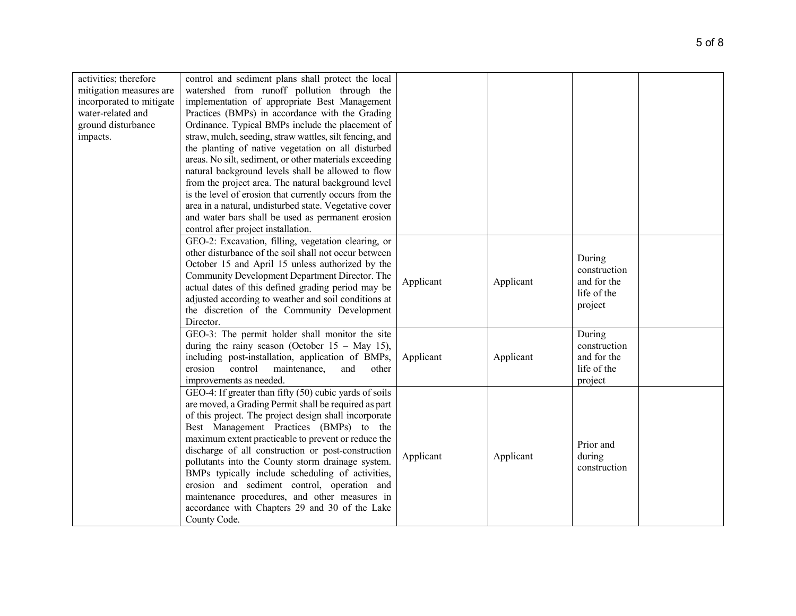| activities; therefore    | control and sediment plans shall protect the local      |           |           |              |  |
|--------------------------|---------------------------------------------------------|-----------|-----------|--------------|--|
| mitigation measures are  | watershed from runoff pollution through the             |           |           |              |  |
| incorporated to mitigate | implementation of appropriate Best Management           |           |           |              |  |
| water-related and        | Practices (BMPs) in accordance with the Grading         |           |           |              |  |
| ground disturbance       | Ordinance. Typical BMPs include the placement of        |           |           |              |  |
| impacts.                 | straw, mulch, seeding, straw wattles, silt fencing, and |           |           |              |  |
|                          | the planting of native vegetation on all disturbed      |           |           |              |  |
|                          | areas. No silt, sediment, or other materials exceeding  |           |           |              |  |
|                          | natural background levels shall be allowed to flow      |           |           |              |  |
|                          | from the project area. The natural background level     |           |           |              |  |
|                          | is the level of erosion that currently occurs from the  |           |           |              |  |
|                          | area in a natural, undisturbed state. Vegetative cover  |           |           |              |  |
|                          | and water bars shall be used as permanent erosion       |           |           |              |  |
|                          | control after project installation.                     |           |           |              |  |
|                          | GEO-2: Excavation, filling, vegetation clearing, or     |           |           |              |  |
|                          | other disturbance of the soil shall not occur between   |           |           |              |  |
|                          | October 15 and April 15 unless authorized by the        |           |           | During       |  |
|                          | Community Development Department Director. The          |           |           | construction |  |
|                          | actual dates of this defined grading period may be      | Applicant | Applicant | and for the  |  |
|                          | adjusted according to weather and soil conditions at    |           |           | life of the  |  |
|                          | the discretion of the Community Development             |           |           | project      |  |
|                          | Director.                                               |           |           |              |  |
|                          | GEO-3: The permit holder shall monitor the site         |           |           | During       |  |
|                          | during the rainy season (October $15 - May 15$ ),       |           |           | construction |  |
|                          | including post-installation, application of BMPs,       | Applicant | Applicant | and for the  |  |
|                          | erosion<br>control<br>maintenance,<br>and<br>other      |           |           | life of the  |  |
|                          | improvements as needed.                                 |           |           | project      |  |
|                          | GEO-4: If greater than fifty (50) cubic yards of soils  |           |           |              |  |
|                          | are moved, a Grading Permit shall be required as part   |           |           |              |  |
|                          | of this project. The project design shall incorporate   |           |           |              |  |
|                          | Best Management Practices (BMPs) to the                 |           |           |              |  |
|                          | maximum extent practicable to prevent or reduce the     |           |           |              |  |
|                          | discharge of all construction or post-construction      |           |           | Prior and    |  |
|                          | pollutants into the County storm drainage system.       | Applicant | Applicant | during       |  |
|                          | BMPs typically include scheduling of activities,        |           |           | construction |  |
|                          |                                                         |           |           |              |  |
|                          | erosion and sediment control, operation and             |           |           |              |  |
|                          | maintenance procedures, and other measures in           |           |           |              |  |
|                          | accordance with Chapters 29 and 30 of the Lake          |           |           |              |  |
|                          | County Code.                                            |           |           |              |  |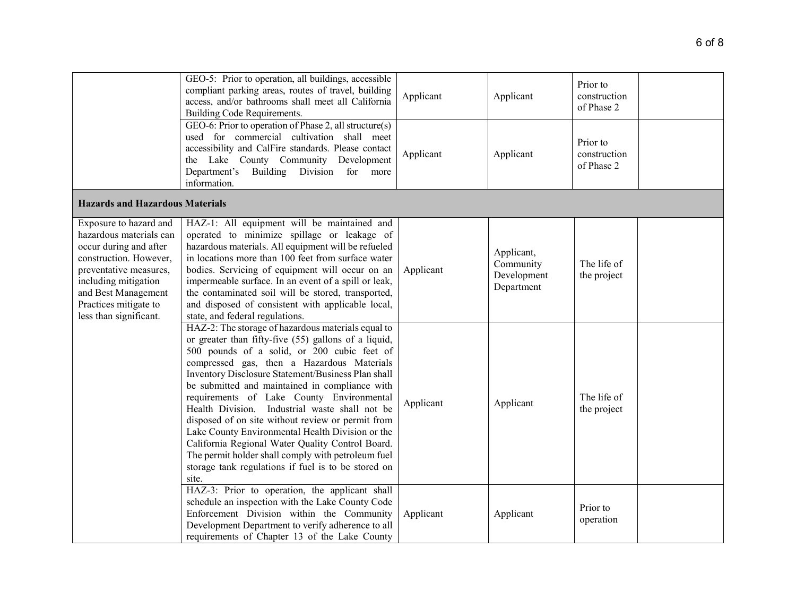|                                                                                                                                                                                                                                   | GEO-5: Prior to operation, all buildings, accessible<br>compliant parking areas, routes of travel, building<br>access, and/or bathrooms shall meet all California<br>Building Code Requirements.<br>GEO-6: Prior to operation of Phase 2, all structure(s)<br>used for commercial cultivation shall meet<br>accessibility and CalFire standards. Please contact<br>the Lake County Community Development<br>Department's<br>Building Division for more<br>information.                                                                                                                                                                                                                            | Applicant<br>Applicant | Applicant<br>Applicant                               | Prior to<br>construction<br>of Phase 2<br>Prior to<br>construction<br>of Phase 2 |  |
|-----------------------------------------------------------------------------------------------------------------------------------------------------------------------------------------------------------------------------------|---------------------------------------------------------------------------------------------------------------------------------------------------------------------------------------------------------------------------------------------------------------------------------------------------------------------------------------------------------------------------------------------------------------------------------------------------------------------------------------------------------------------------------------------------------------------------------------------------------------------------------------------------------------------------------------------------|------------------------|------------------------------------------------------|----------------------------------------------------------------------------------|--|
| <b>Hazards and Hazardous Materials</b>                                                                                                                                                                                            |                                                                                                                                                                                                                                                                                                                                                                                                                                                                                                                                                                                                                                                                                                   |                        |                                                      |                                                                                  |  |
| Exposure to hazard and<br>hazardous materials can<br>occur during and after<br>construction. However,<br>preventative measures,<br>including mitigation<br>and Best Management<br>Practices mitigate to<br>less than significant. | HAZ-1: All equipment will be maintained and<br>operated to minimize spillage or leakage of<br>hazardous materials. All equipment will be refueled<br>in locations more than 100 feet from surface water<br>bodies. Servicing of equipment will occur on an<br>impermeable surface. In an event of a spill or leak,<br>the contaminated soil will be stored, transported,<br>and disposed of consistent with applicable local,<br>state, and federal regulations.                                                                                                                                                                                                                                  | Applicant              | Applicant,<br>Community<br>Development<br>Department | The life of<br>the project                                                       |  |
|                                                                                                                                                                                                                                   | HAZ-2: The storage of hazardous materials equal to<br>or greater than fifty-five (55) gallons of a liquid,<br>500 pounds of a solid, or 200 cubic feet of<br>compressed gas, then a Hazardous Materials<br>Inventory Disclosure Statement/Business Plan shall<br>be submitted and maintained in compliance with<br>requirements of Lake County Environmental<br>Health Division. Industrial waste shall not be<br>disposed of on site without review or permit from<br>Lake County Environmental Health Division or the<br>California Regional Water Quality Control Board.<br>The permit holder shall comply with petroleum fuel<br>storage tank regulations if fuel is to be stored on<br>site. | Applicant              | Applicant                                            | The life of<br>the project                                                       |  |
|                                                                                                                                                                                                                                   | HAZ-3: Prior to operation, the applicant shall<br>schedule an inspection with the Lake County Code<br>Enforcement Division within the Community<br>Development Department to verify adherence to all<br>requirements of Chapter 13 of the Lake County                                                                                                                                                                                                                                                                                                                                                                                                                                             | Applicant              | Applicant                                            | Prior to<br>operation                                                            |  |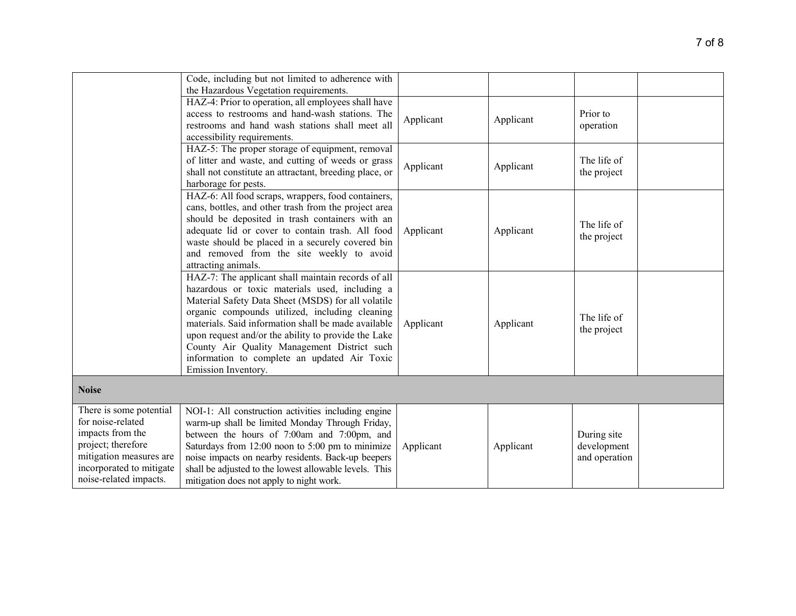|                                                                                                                                                                         | Code, including but not limited to adherence with<br>the Hazardous Vegetation requirements.                                                                                                                                                                                                                                                                                                                                                      |           |           |                                             |  |
|-------------------------------------------------------------------------------------------------------------------------------------------------------------------------|--------------------------------------------------------------------------------------------------------------------------------------------------------------------------------------------------------------------------------------------------------------------------------------------------------------------------------------------------------------------------------------------------------------------------------------------------|-----------|-----------|---------------------------------------------|--|
|                                                                                                                                                                         | HAZ-4: Prior to operation, all employees shall have<br>access to restrooms and hand-wash stations. The<br>restrooms and hand wash stations shall meet all<br>accessibility requirements.                                                                                                                                                                                                                                                         | Applicant | Applicant | Prior to<br>operation                       |  |
|                                                                                                                                                                         | HAZ-5: The proper storage of equipment, removal<br>of litter and waste, and cutting of weeds or grass<br>shall not constitute an attractant, breeding place, or<br>harborage for pests.                                                                                                                                                                                                                                                          | Applicant | Applicant | The life of<br>the project                  |  |
|                                                                                                                                                                         | HAZ-6: All food scraps, wrappers, food containers,<br>cans, bottles, and other trash from the project area<br>should be deposited in trash containers with an<br>adequate lid or cover to contain trash. All food<br>waste should be placed in a securely covered bin<br>and removed from the site weekly to avoid<br>attracting animals.                                                                                                        | Applicant | Applicant | The life of<br>the project                  |  |
|                                                                                                                                                                         | HAZ-7: The applicant shall maintain records of all<br>hazardous or toxic materials used, including a<br>Material Safety Data Sheet (MSDS) for all volatile<br>organic compounds utilized, including cleaning<br>materials. Said information shall be made available<br>upon request and/or the ability to provide the Lake<br>County Air Quality Management District such<br>information to complete an updated Air Toxic<br>Emission Inventory. | Applicant | Applicant | The life of<br>the project                  |  |
| <b>Noise</b>                                                                                                                                                            |                                                                                                                                                                                                                                                                                                                                                                                                                                                  |           |           |                                             |  |
| There is some potential<br>for noise-related<br>impacts from the<br>project; therefore<br>mitigation measures are<br>incorporated to mitigate<br>noise-related impacts. | NOI-1: All construction activities including engine<br>warm-up shall be limited Monday Through Friday,<br>between the hours of 7:00am and 7:00pm, and<br>Saturdays from 12:00 noon to 5:00 pm to minimize<br>noise impacts on nearby residents. Back-up beepers<br>shall be adjusted to the lowest allowable levels. This<br>mitigation does not apply to night work.                                                                            | Applicant | Applicant | During site<br>development<br>and operation |  |